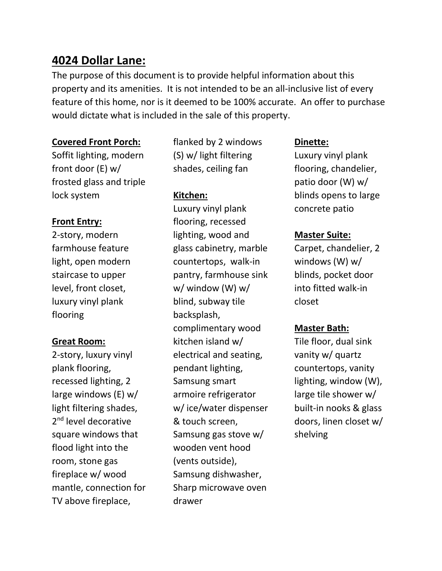# 4024 Dollar Lane:

The purpose of this document is to provide helpful information about this property and its amenities. It is not intended to be an all-inclusive list of every feature of this home, nor is it deemed to be 100% accurate. An offer to purchase would dictate what is included in the sale of this property.

# Covered Front Porch:

Soffit lighting, modern front door (E) w/ frosted glass and triple lock system

flanked by 2 windows (S) w/ light filtering shades, ceiling fan

# Kitchen:

Front Entry:

2-story, modern farmhouse feature light, open modern staircase to upper level, front closet, luxury vinyl plank flooring

# Great Room:

2-story, luxury vinyl plank flooring, recessed lighting, 2 large windows (E) w/ light filtering shades, 2<sup>nd</sup> level decorative square windows that flood light into the room, stone gas fireplace w/ wood mantle, connection for TV above fireplace,

Luxury vinyl plank flooring, recessed lighting, wood and glass cabinetry, marble countertops, walk-in pantry, farmhouse sink w/ window (W) w/ blind, subway tile backsplash, complimentary wood kitchen island w/ electrical and seating, pendant lighting, Samsung smart armoire refrigerator w/ ice/water dispenser & touch screen, Samsung gas stove w/ wooden vent hood (vents outside), Samsung dishwasher, Sharp microwave oven drawer

# Dinette:

Luxury vinyl plank flooring, chandelier, patio door (W) w/ blinds opens to large concrete patio

# Master Suite:

Carpet, chandelier, 2 windows (W) w/ blinds, pocket door into fitted walk-in closet

# Master Bath:

Tile floor, dual sink vanity w/ quartz countertops, vanity lighting, window (W), large tile shower w/ built-in nooks & glass doors, linen closet w/ shelving